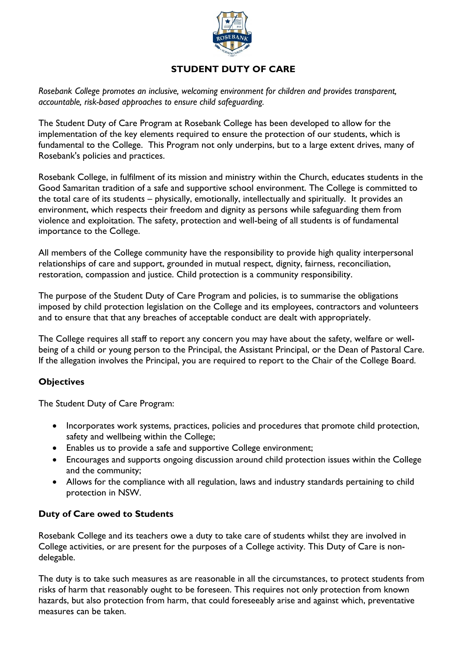

# **STUDENT DUTY OF CARE**

*Rosebank College promotes an inclusive, welcoming environment for children and provides transparent, accountable, risk-based approaches to ensure child safeguarding.*

The Student Duty of Care Program at Rosebank College has been developed to allow for the implementation of the key elements required to ensure the protection of our students, which is fundamental to the College. This Program not only underpins, but to a large extent drives, many of Rosebank's policies and practices.

Rosebank College, in fulfilment of its mission and ministry within the Church, educates students in the Good Samaritan tradition of a safe and supportive school environment. The College is committed to the total care of its students – physically, emotionally, intellectually and spiritually. It provides an environment, which respects their freedom and dignity as persons while safeguarding them from violence and exploitation. The safety, protection and well-being of all students is of fundamental importance to the College.

All members of the College community have the responsibility to provide high quality interpersonal relationships of care and support, grounded in mutual respect, dignity, fairness, reconciliation, restoration, compassion and justice. Child protection is a community responsibility.

The purpose of the Student Duty of Care Program and policies, is to summarise the obligations imposed by child protection legislation on the College and its employees, contractors and volunteers and to ensure that that any breaches of acceptable conduct are dealt with appropriately.

The College requires all staff to report any concern you may have about the safety, welfare or wellbeing of a child or young person to the Principal, the Assistant Principal, or the Dean of Pastoral Care. If the allegation involves the Principal, you are required to report to the Chair of the College Board.

## **Objectives**

The Student Duty of Care Program:

- Incorporates work systems, practices, policies and procedures that promote child protection, safety and wellbeing within the College;
- Enables us to provide a safe and supportive College environment;
- Encourages and supports ongoing discussion around child protection issues within the College and the community;
- Allows for the compliance with all regulation, laws and industry standards pertaining to child protection in NSW.

#### **Duty of Care owed to Students**

Rosebank College and its teachers owe a duty to take care of students whilst they are involved in College activities, or are present for the purposes of a College activity. This Duty of Care is nondelegable.

The duty is to take such measures as are reasonable in all the circumstances, to protect students from risks of harm that reasonably ought to be foreseen. This requires not only protection from known hazards, but also protection from harm, that could foreseeably arise and against which, preventative measures can be taken.